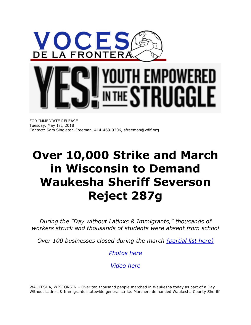

## H EMPOWERED IGGI F N THE '

FOR IMMEDIATE RELEASE Tuesday, May 1st, 2018 Contact: Sam Singleton-Freeman, 414-469-9206, sfreeman@vdlf.org

## **Over 10,000 Strike and March in Wisconsin to Demand Waukesha Sheriff Severson Reject 287g**

*During the "Day without Latinxs & Immigrants," thousands of workers struck and thousands of students were absent from school*

*Over 100 businesses closed during the march [\(partial list here\)](https://voces.ourpowerbase.net/sites/all/modules/civicrm/extern/url.php?u=1365&qid=1970970)*

*[Photos here](https://voces.ourpowerbase.net/sites/all/modules/civicrm/extern/url.php?u=1366&qid=1970970)*

*[Video here](https://voces.ourpowerbase.net/sites/all/modules/civicrm/extern/url.php?u=1367&qid=1970970)*

WAUKESHA, WISCONSIN – Over ten thousand people marched in Waukesha today as part of a Day Without Latinxs & Immigrants statewide general strike. Marchers demanded Waukesha County Sheriff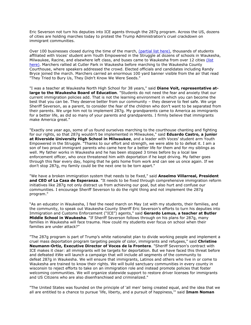Eric Severson not turn his deputies into ICE agents through the 287g program. Across the US, dozens of cities are holding marches today to protest the Trump Administration's cruel crackdown on immigrant communities.

Over 100 businesses closed during the time of the march, [\(partial list here\),](https://voces.ourpowerbase.net/sites/all/modules/civicrm/extern/url.php?u=1365&qid=1970970) thousands of students affiliated with Voces' student arm Youth Empowered in the Struggle at dozens of schools in Waukesha, Milwaukee, Racine, and elsewhere left class, and buses came to Waukesha from over 12 cities (list [here\).](https://voces.ourpowerbase.net/sites/all/modules/civicrm/extern/url.php?u=1359&qid=1970970) Marchers rallied at Cutler Park in Waukesha before marching to the Waukesha County Courthouse, where speakers addressed the crowd. Elected officials and candidates including Randy Bryce joined the march. Marchers carried an enormous 100 yard banner visible from the air that read "They Tried to Bury Us, They Didn't Know We Were Seeds."

"I was a teacher at Waukesha North High School for 38 years," said **Diane Voit, representative atlarge to the Waukesha Board of Education**. "Students do not need the fear and anxiety that our current immigration policies add. That is not the learning environment in which you can become the best that you can be. They deserve better from our community – they deserve to feel safe. We urge Sheriff Severson, as a parent, to consider the fear of the children who don't want to be separated from their parents. We urge him not to implement 287g. My grandparents came to America as immigrants for a better life, as did so many of your parents and grandparents. I firmly believe that immigrants make America great."

"Exactly one year ago, some of us found ourselves marching to the courthouse chanting and fighting for our rights, so that 287g wouldn't be implemented in Milwaukee," said **Eduardo Castro, a junior at Riverside University High School in Milwaukee**, and a leader with Voces' student arm Youth Empowered in the Struggle. "Thanks to our effort and strength, we were able to to defeat it. I am a son of two proud immigrant parents who came here for a better life for them and for my siblings as well. My father works in Waukesha and he has been stopped 3 times before by a local law enforcement officer, who once threatened him with deportation if he kept driving. My father goes through this fear every day, hoping that he gets home from work and can see us once again. If we don't stop 287g, my family could be the next one to be torn apart."

"We have a broken immigration system that needs to be fixed," said **Anselmo Villarreal, President and CEO of La Casa de Esperanza**. "It needs to be fixed through comprehensive immigration reform initiatives like 287g not only distract us from achieving our goal, but also hurt and confuse our communities. I encourage Sheriff Severson to do the right thing and not implement the 287g program."

"As an educator in Waukesha, I feel the need march on May 1st with my students, their families, and the community, to speak out Waukesha County Sheriff Eric Severson's efforts to turn his deputies into Immigration and Customs Enforcement ("ICE") agents," said **Gerardo Lemus, a teacher at Butler Middle School in Waukesha**. "If Sheriff Severson follows through on his plans for 287g, many families in Waukesha will face trauma. How could my students ever focus on school when their families are under attack?"

"The 287g program is part of Trump's white nationalist plan to divide working people and implement a cruel mass deportation program targeting people of color, immigrants and refugees," said **Christine Neumann-Ortiz, Executive Director of Voces de la Frontera**. "Sheriff Severson's contract with ICE makes it clear: all immigrants will be targets for deportation. But we have faced this threat before and defeated itWe will launch a campaign that will include all segments of the community to defeat 287g in Waukesha. We will ensure that immigrants, Latinos and others who live in or come to Waukesha are trained to know their rights. We will build sanctuary communities in every county in wisconsin to reject efforts to take on an immigration role and instead promote policies that foster welcoming communities. We will organize statewide support to restore driver licenses for immigrants and US Citizens who are also disenfranchised and criminalized."

"The United States was founded on the principle of 'all men' being created equal, and the idea that we all are entitled to a chance to pursue 'life, liberty, and a pursuit of happiness,'" said **Imam Noman**